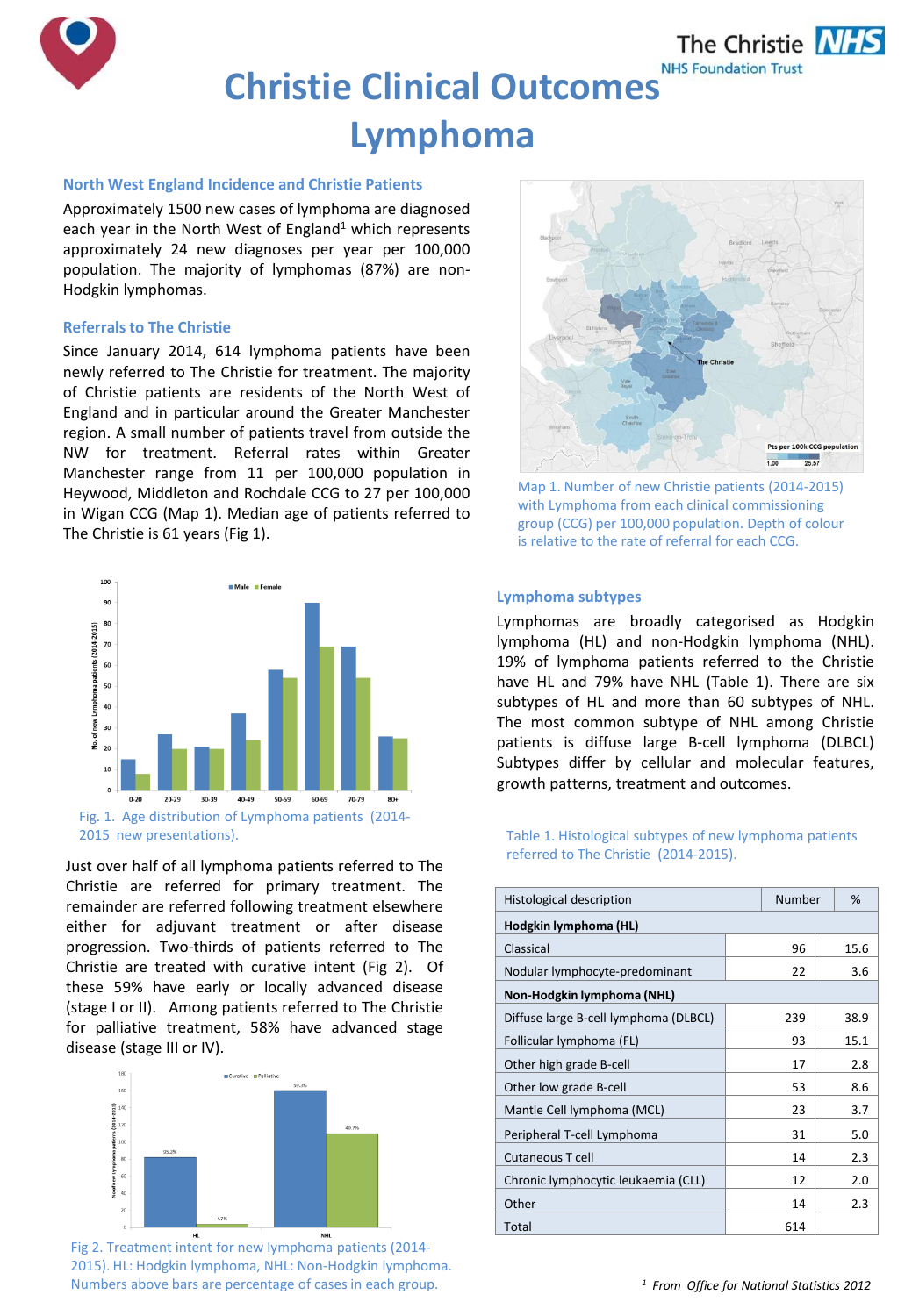

## **North West England Incidence and Christie Patients**

Approximately 1500 new cases of lymphoma are diagnosed each year in the North West of England<sup>1</sup> which represents approximately 24 new diagnoses per year per 100,000 population. The majority of lymphomas (87%) are non-Hodgkin lymphomas.

## **Referrals to The Christie**

Since January 2014, 614 lymphoma patients have been newly referred to The Christie for treatment. The majority of Christie patients are residents of the North West of England and in particular around the Greater Manchester region. A small number of patients travel from outside the NW for treatment. Referral rates within Greater Manchester range from 11 per 100,000 population in Heywood, Middleton and Rochdale CCG to 27 per 100,000 in Wigan CCG (Map 1). Median age of patients referred to The Christie is 61 years (Fig 1).



Just over half of all lymphoma patients referred to The Christie are referred for primary treatment. The remainder are referred following treatment elsewhere either for adjuvant treatment or after disease progression. Two-thirds of patients referred to The Christie are treated with curative intent (Fig 2). Of these 59% have early or locally advanced disease (stage I or II). Among patients referred to The Christie for palliative treatment, 58% have advanced stage disease (stage III or IV).



Fig 2. Treatment intent for new lymphoma patients (2014- 2015). HL: Hodgkin lymphoma, NHL: Non-Hodgkin lymphoma. Numbers above bars are percentage of cases in each group.



Map 1. Number of new Christie patients (2014-2015) with Lymphoma from each clinical commissioning group (CCG) per 100,000 population. Depth of colour is relative to the rate of referral for each CCG.

## **Lymphoma subtypes**

Lymphomas are broadly categorised as Hodgkin lymphoma (HL) and non-Hodgkin lymphoma (NHL). 19% of lymphoma patients referred to the Christie have HL and 79% have NHL (Table 1). There are six subtypes of HL and more than 60 subtypes of NHL. The most common subtype of NHL among Christie patients is diffuse large B-cell lymphoma (DLBCL) Subtypes differ by cellular and molecular features, growth patterns, treatment and outcomes.

# referred to The Christie (2014-2015).

| <b>Histological description</b>       |  | Number |  | %    |
|---------------------------------------|--|--------|--|------|
| Hodgkin lymphoma (HL)                 |  |        |  |      |
| Classical                             |  | 96     |  | 15.6 |
| Nodular lymphocyte-predominant        |  | 22     |  | 3.6  |
| Non-Hodgkin lymphoma (NHL)            |  |        |  |      |
| Diffuse large B-cell lymphoma (DLBCL) |  | 239    |  | 38.9 |
| Follicular lymphoma (FL)              |  | 93     |  | 15.1 |
| Other high grade B-cell               |  | 17     |  | 2.8  |
| Other low grade B-cell                |  | 53     |  | 8.6  |
| Mantle Cell lymphoma (MCL)            |  | 23     |  | 3.7  |
| Peripheral T-cell Lymphoma            |  | 31     |  | 5.0  |
| Cutaneous T cell                      |  | 14     |  | 2.3  |
| Chronic lymphocytic leukaemia (CLL)   |  | 12     |  | 2.0  |
| Other                                 |  | 14     |  | 2.3  |
| Total                                 |  | 614    |  |      |